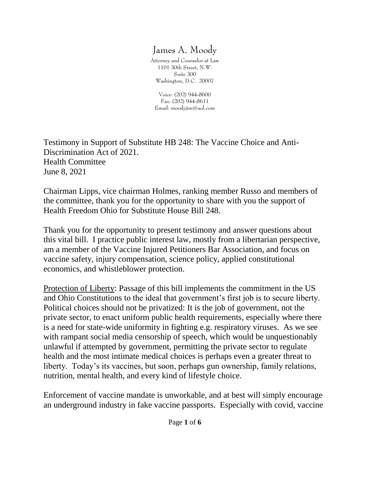## James A. Moody

Attorney and Counselor at Law 1101 30th Street, N.W. Suite 300 Washington, D.C. 20007

Voice: (202) 944-8600 Fax: (202) 944-8611 Email: moodyjim@aol.com

Testimony in Support of Substitute HB 248: The Vaccine Choice and Anti-Discrimination Act of 2021. Health Committee June 8, 2021

Chairman Lipps, vice chairman Holmes, ranking member Russo and members of the committee, thank you for the opportunity to share with you the support of Health Freedom Ohio for Substitute House Bill 248.

Thank you for the opportunity to present testimony and answer questions about this vital bill. I practice public interest law, mostly from a libertarian perspective, am a member of the Vaccine Injured Petitioners Bar Association, and focus on vaccine safety, injury compensation, science policy, applied constitutional economics, and whistleblower protection.

Protection of Liberty: Passage of this bill implements the commitment in the US and Ohio Constitutions to the ideal that government's first job is to secure liberty. Political choices should not be privatized: It is the job of government, not the private sector, to enact uniform public health requirements, especially where there is a need for state-wide uniformity in fighting e.g. respiratory viruses. As we see with rampant social media censorship of speech, which would be unquestionably unlawful if attempted by government, permitting the private sector to regulate health and the most intimate medical choices is perhaps even a greater threat to liberty. Today's its vaccines, but soon, perhaps gun ownership, family relations, nutrition, mental health, and every kind of lifestyle choice.

Enforcement of vaccine mandate is unworkable, and at best will simply encourage an underground industry in fake vaccine passports. Especially with covid, vaccine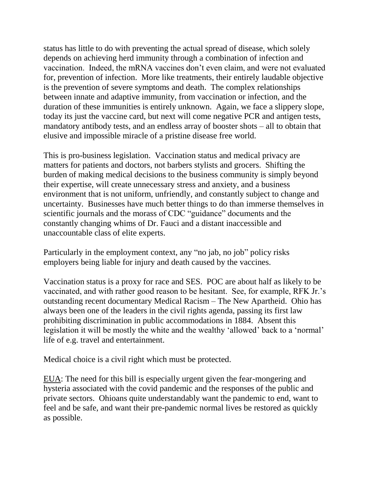status has little to do with preventing the actual spread of disease, which solely depends on achieving herd immunity through a combination of infection and vaccination. Indeed, the mRNA vaccines don't even claim, and were not evaluated for, prevention of infection. More like treatments, their entirely laudable objective is the prevention of severe symptoms and death. The complex relationships between innate and adaptive immunity, from vaccination or infection, and the duration of these immunities is entirely unknown. Again, we face a slippery slope, today its just the vaccine card, but next will come negative PCR and antigen tests, mandatory antibody tests, and an endless array of booster shots – all to obtain that elusive and impossible miracle of a pristine disease free world.

This is pro-business legislation. Vaccination status and medical privacy are matters for patients and doctors, not barbers stylists and grocers. Shifting the burden of making medical decisions to the business community is simply beyond their expertise, will create unnecessary stress and anxiety, and a business environment that is not uniform, unfriendly, and constantly subject to change and uncertainty. Businesses have much better things to do than immerse themselves in scientific journals and the morass of CDC "guidance" documents and the constantly changing whims of Dr. Fauci and a distant inaccessible and unaccountable class of elite experts.

Particularly in the employment context, any "no jab, no job" policy risks employers being liable for injury and death caused by the vaccines.

Vaccination status is a proxy for race and SES. POC are about half as likely to be vaccinated, and with rather good reason to be hesitant. See, for example, RFK Jr.'s outstanding recent documentary Medical Racism – The New Apartheid. Ohio has always been one of the leaders in the civil rights agenda, passing its first law prohibiting discrimination in public accommodations in 1884. Absent this legislation it will be mostly the white and the wealthy 'allowed' back to a 'normal' life of e.g. travel and entertainment.

Medical choice is a civil right which must be protected.

EUA: The need for this bill is especially urgent given the fear-mongering and hysteria associated with the covid pandemic and the responses of the public and private sectors. Ohioans quite understandably want the pandemic to end, want to feel and be safe, and want their pre-pandemic normal lives be restored as quickly as possible.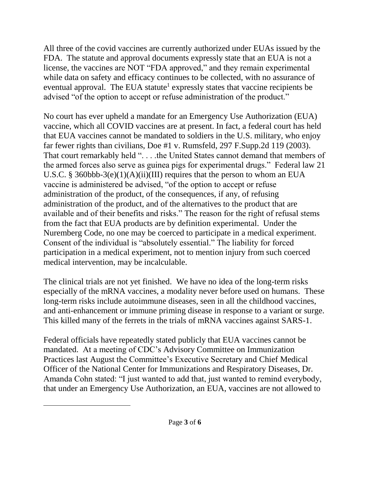All three of the covid vaccines are currently authorized under EUAs issued by the FDA. The statute and approval documents expressly state that an EUA is not a license, the vaccines are NOT "FDA approved," and they remain experimental while data on safety and efficacy continues to be collected, with no assurance of eventual approval. The EUA statute<sup>1</sup> expressly states that vaccine recipients be advised "of the option to accept or refuse administration of the product."

No court has ever upheld a mandate for an Emergency Use Authorization (EUA) vaccine, which all COVID vaccines are at present. In fact, a federal court has held that EUA vaccines cannot be mandated to soldiers in the U.S. military, who enjoy far fewer rights than civilians, Doe #1 v. Rumsfeld, 297 F.Supp.2d 119 (2003). That court remarkably held "... .the United States cannot demand that members of the armed forces also serve as guinea pigs for experimental drugs." Federal law 21 U.S.C. § 360bbb-3(e)(1)(A)(ii)(III) requires that the person to whom an EUA vaccine is administered be advised, "of the option to accept or refuse administration of the product, of the consequences, if any, of refusing administration of the product, and of the alternatives to the product that are available and of their benefits and risks." The reason for the right of refusal stems from the fact that EUA products are by definition experimental. Under the Nuremberg Code, no one may be coerced to participate in a medical experiment. Consent of the individual is "absolutely essential." The liability for forced participation in a medical experiment, not to mention injury from such coerced medical intervention, may be incalculable.

The clinical trials are not yet finished. We have no idea of the long-term risks especially of the mRNA vaccines, a modality never before used on humans. These long-term risks include autoimmune diseases, seen in all the childhood vaccines, and anti-enhancement or immune priming disease in response to a variant or surge. This killed many of the ferrets in the trials of mRNA vaccines against SARS-1.

Federal officials have repeatedly stated publicly that EUA vaccines cannot be mandated. At a meeting of CDC's Advisory Committee on Immunization Practices last August the Committee's Executive Secretary and Chief Medical Officer of the National Center for Immunizations and Respiratory Diseases, Dr. Amanda Cohn stated: "I just wanted to add that, just wanted to remind everybody, that under an Emergency Use Authorization, an EUA, vaccines are not allowed to

 $\overline{a}$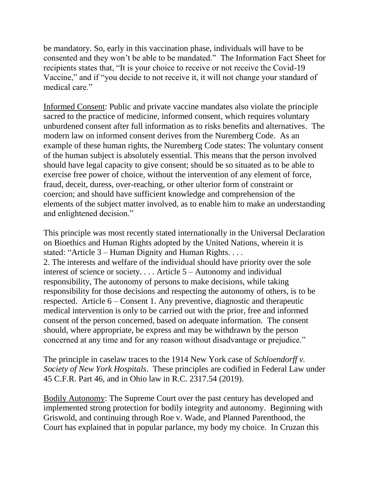be mandatory. So, early in this vaccination phase, individuals will have to be consented and they won't be able to be mandated." The Information Fact Sheet for recipients states that, "It is your choice to receive or not receive the Covid-19 Vaccine," and if "you decide to not receive it, it will not change your standard of medical care."

Informed Consent: Public and private vaccine mandates also violate the principle sacred to the practice of medicine, informed consent, which requires voluntary unburdened consent after full information as to risks benefits and alternatives. The modern law on informed consent derives from the Nuremberg Code. As an example of these human rights, the Nuremberg Code states: The voluntary consent of the human subject is absolutely essential. This means that the person involved should have legal capacity to give consent; should be so situated as to be able to exercise free power of choice, without the intervention of any element of force, fraud, deceit, duress, over-reaching, or other ulterior form of constraint or coercion; and should have sufficient knowledge and comprehension of the elements of the subject matter involved, as to enable him to make an understanding and enlightened decision."

This principle was most recently stated internationally in the Universal Declaration on Bioethics and Human Rights adopted by the United Nations, wherein it is stated: "Article 3 – Human Dignity and Human Rights. . . . 2. The interests and welfare of the individual should have priority over the sole interest of science or society. . . . Article 5 – Autonomy and individual responsibility, The autonomy of persons to make decisions, while taking responsibility for those decisions and respecting the autonomy of others, is to be respected. Article 6 – Consent 1. Any preventive, diagnostic and therapeutic medical intervention is only to be carried out with the prior, free and informed consent of the person concerned, based on adequate information. The consent should, where appropriate, be express and may be withdrawn by the person concerned at any time and for any reason without disadvantage or prejudice."

The principle in caselaw traces to the 1914 New York case of *Schloendorff v. Society of New York Hospitals*. These principles are codified in Federal Law under 45 C.F.R. Part 46, and in Ohio law in R.C. 2317.54 (2019).

Bodily Autonomy: The Supreme Court over the past century has developed and implemented strong protection for bodily integrity and autonomy. Beginning with Griswold, and continuing through Roe v. Wade, and Planned Parenthood, the Court has explained that in popular parlance, my body my choice. In Cruzan this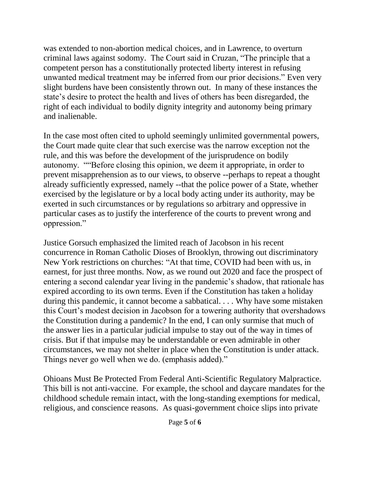was extended to non-abortion medical choices, and in Lawrence, to overturn criminal laws against sodomy. The Court said in Cruzan, "The principle that a competent person has a constitutionally protected liberty interest in refusing unwanted medical treatment may be inferred from our prior decisions." Even very slight burdens have been consistently thrown out. In many of these instances the state's desire to protect the health and lives of others has been disregarded, the right of each individual to bodily dignity integrity and autonomy being primary and inalienable.

In the case most often cited to uphold seemingly unlimited governmental powers, the Court made quite clear that such exercise was the narrow exception not the rule, and this was before the development of the jurisprudence on bodily autonomy. ""Before closing this opinion, we deem it appropriate, in order to prevent misapprehension as to our views, to observe --perhaps to repeat a thought already sufficiently expressed, namely --that the police power of a State, whether exercised by the legislature or by a local body acting under its authority, may be exerted in such circumstances or by regulations so arbitrary and oppressive in particular cases as to justify the interference of the courts to prevent wrong and oppression."

Justice Gorsuch emphasized the limited reach of Jacobson in his recent concurrence in Roman Catholic Dioses of Brooklyn, throwing out discriminatory New York restrictions on churches: "At that time, COVID had been with us, in earnest, for just three months. Now, as we round out 2020 and face the prospect of entering a second calendar year living in the pandemic's shadow, that rationale has expired according to its own terms. Even if the Constitution has taken a holiday during this pandemic, it cannot become a sabbatical. . . . Why have some mistaken this Court's modest decision in Jacobson for a towering authority that overshadows the Constitution during a pandemic? In the end, I can only surmise that much of the answer lies in a particular judicial impulse to stay out of the way in times of crisis. But if that impulse may be understandable or even admirable in other circumstances, we may not shelter in place when the Constitution is under attack. Things never go well when we do. (emphasis added)."

Ohioans Must Be Protected From Federal Anti-Scientific Regulatory Malpractice. This bill is not anti-vaccine. For example, the school and daycare mandates for the childhood schedule remain intact, with the long-standing exemptions for medical, religious, and conscience reasons. As quasi-government choice slips into private